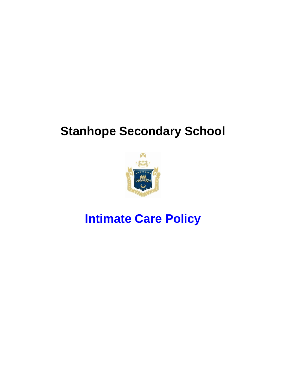# **Stanhope Secondary School**



# **Intimate Care Policy**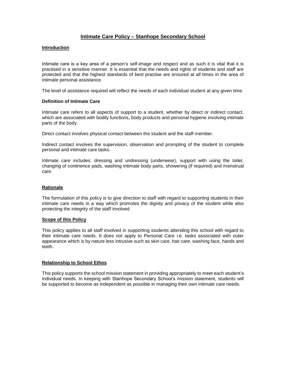## **Intimate Care Policy – Stanhope Secondary School**

#### **Introduction**

Intimate care is a key area of a person's self-image and respect and as such it is vital that it is practised in a sensitive manner. It is essential that the needs and rights of students and staff are protected and that the highest standards of best practise are ensured at all times in the area of intimate personal assistance.

The level of assistance required will reflect the needs of each individual student at any given time.

#### **Definition of Intimate Care**

Intimate care refers to all aspects of support to a student, whether by direct or indirect contact, which are associated with bodily functions, body products and personal hygiene involving intimate parts of the body.

Direct contact involves physical contact between the student and the staff member.

Indirect contact involves the supervision, observation and prompting of the student to complete personal and intimate care tasks.

Intimate care includes; dressing and undressing (underwear), support with using the toilet, changing of continence pads, washing intimate body parts, showering (if required) and menstrual care.

#### **Rationale**

The formulation of this policy is to give direction to staff with regard to supporting students in their intimate care needs in a way which promotes the dignity and privacy of the student while also protecting the integrity of the staff involved.

#### **Scope of this Policy**

This policy applies to all staff involved in supporting students attending this school with regard to their intimate care needs. It does not apply to Personal Care i.e. tasks associated with outer appearance which is by nature less intrusive such as skin care, hair care, washing face, hands and teeth.

#### **Relationship to School Ethos**

This policy supports the school mission statement in providing appropriately to meet each student's individual needs. In keeping with Stanhope Secondary School's mission statement, students will be supported to become as independent as possible in managing their own intimate care needs.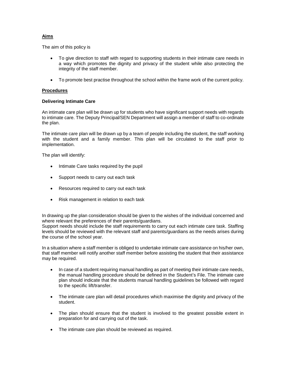### **Aims**

The aim of this policy is

- To give direction to staff with regard to supporting students in their intimate care needs in a way which promotes the dignity and privacy of the student while also protecting the integrity of the staff member.
- To promote best practise throughout the school within the frame work of the current policy.

### **Procedures**

### **Delivering Intimate Care**

An intimate care plan will be drawn up for students who have significant support needs with regards to intimate care. The Deputy Principal/SEN Department will assign a member of staff to co-ordinate the plan.

The intimate care plan will be drawn up by a team of people including the student, the staff working with the student and a family member. This plan will be circulated to the staff prior to implementation.

The plan will identify:

- Intimate Care tasks required by the pupil
- Support needs to carry out each task
- Resources required to carry out each task
- Risk management in relation to each task

In drawing up the plan consideration should be given to the wishes of the individual concerned and where relevant the preferences of their parents/guardians.

Support needs should include the staff requirements to carry out each intimate care task. Staffing levels should be reviewed with the relevant staff and parents/guardians as the needs arises during the course of the school year.

In a situation where a staff member is obliged to undertake intimate care assistance on his/her own, that staff member will notify another staff member before assisting the student that their assistance may be required.

- In case of a student requiring manual handling as part of meeting their intimate care needs, the manual handling procedure should be defined in the Student's File. The intimate care plan should indicate that the students manual handling guidelines be followed with regard to the specific lift/transfer.
- The intimate care plan will detail procedures which maximise the dignity and privacy of the student.
- The plan should ensure that the student is involved to the greatest possible extent in preparation for and carrying out of the task.
- The intimate care plan should be reviewed as required.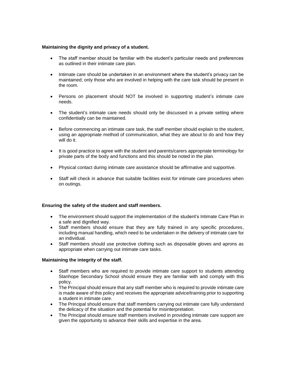#### **Maintaining the dignity and privacy of a student.**

- The staff member should be familiar with the student's particular needs and preferences as outlined in their intimate care plan.
- Intimate care should be undertaken in an environment where the student's privacy can be maintained; only those who are involved in helping with the care task should be present in the room.
- Persons on placement should NOT be involved in supporting student's intimate care needs.
- The student's intimate care needs should only be discussed in a private setting where confidentially can be maintained.
- Before commencing an intimate care task, the staff member should explain to the student, using an appropriate method of communication, what they are about to do and how they will do it.
- It is good practice to agree with the student and parents/carers appropriate terminology for private parts of the body and functions and this should be noted in the plan.
- Physical contact during intimate care assistance should be affirmative and supportive.
- Staff will check in advance that suitable facilities exist for intimate care procedures when on outings.

#### **Ensuring the safety of the student and staff members.**

- The environment should support the implementation of the student's Intimate Care Plan in a safe and dignified way.
- Staff members should ensure that they are fully trained in any specific procedures, including manual handling, which need to be undertaken in the delivery of intimate care for an individual.
- Staff members should use protective clothing such as disposable gloves and aprons as appropriate when carrying out intimate care tasks.

#### **Maintaining the integrity of the staff.**

- Staff members who are required to provide intimate care support to students attending Stanhope Secondary School should ensure they are familiar with and comply with this policy.
- The Principal should ensure that any staff member who is required to provide intimate care is made aware of this policy and receives the appropriate advice/training prior to supporting a student in intimate care.
- The Principal should ensure that staff members carrying out intimate care fully understand the delicacy of the situation and the potential for misinterpretation.
- The Principal should ensure staff members involved in providing intimate care support are given the opportunity to advance their skills and expertise in the area.